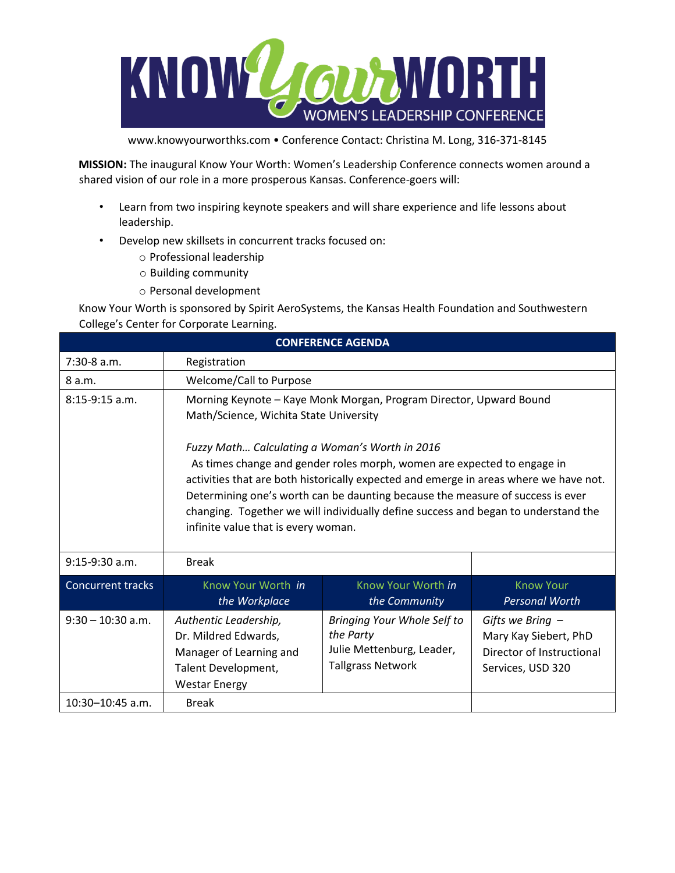

www.knowyourworthks.com • Conference Contact: Christina M. Long, 316-371-8145

**MISSION:** The inaugural Know Your Worth: Women's Leadership Conference connects women around a shared vision of our role in a more prosperous Kansas. Conference-goers will:

- Learn from two inspiring keynote speakers and will share experience and life lessons about leadership.
- Develop new skillsets in concurrent tracks focused on:
	- o Professional leadership
	- o Building community
	- o Personal development

Know Your Worth is sponsored by Spirit AeroSystems, the Kansas Health Foundation and Southwestern College's Center for Corporate Learning.

| <b>CONFERENCE AGENDA</b> |                                                                                                                                                                                                                                                                                                                                                                                                                                                                                                                                                   |                                                                                                   |                                                                                               |  |  |
|--------------------------|---------------------------------------------------------------------------------------------------------------------------------------------------------------------------------------------------------------------------------------------------------------------------------------------------------------------------------------------------------------------------------------------------------------------------------------------------------------------------------------------------------------------------------------------------|---------------------------------------------------------------------------------------------------|-----------------------------------------------------------------------------------------------|--|--|
| $7:30-8$ a.m.            | Registration                                                                                                                                                                                                                                                                                                                                                                                                                                                                                                                                      |                                                                                                   |                                                                                               |  |  |
| 8 a.m.                   | Welcome/Call to Purpose                                                                                                                                                                                                                                                                                                                                                                                                                                                                                                                           |                                                                                                   |                                                                                               |  |  |
| $8:15-9:15$ a.m.         | Morning Keynote - Kaye Monk Morgan, Program Director, Upward Bound<br>Math/Science, Wichita State University<br>Fuzzy Math Calculating a Woman's Worth in 2016<br>As times change and gender roles morph, women are expected to engage in<br>activities that are both historically expected and emerge in areas where we have not.<br>Determining one's worth can be daunting because the measure of success is ever<br>changing. Together we will individually define success and began to understand the<br>infinite value that is every woman. |                                                                                                   |                                                                                               |  |  |
| $9:15-9:30$ a.m.         | <b>Break</b>                                                                                                                                                                                                                                                                                                                                                                                                                                                                                                                                      |                                                                                                   |                                                                                               |  |  |
| <b>Concurrent tracks</b> | Know Your Worth <i>in</i><br>the Workplace                                                                                                                                                                                                                                                                                                                                                                                                                                                                                                        | Know Your Worth in<br>the Community                                                               | <b>Know Your</b><br><b>Personal Worth</b>                                                     |  |  |
| $9:30 - 10:30$ a.m.      | Authentic Leadership,<br>Dr. Mildred Edwards,<br>Manager of Learning and<br>Talent Development,<br><b>Westar Energy</b>                                                                                                                                                                                                                                                                                                                                                                                                                           | Bringing Your Whole Self to<br>the Party<br>Julie Mettenburg, Leader,<br><b>Tallgrass Network</b> | Gifts we Bring $-$<br>Mary Kay Siebert, PhD<br>Director of Instructional<br>Services, USD 320 |  |  |
| 10:30-10:45 a.m.         | <b>Break</b>                                                                                                                                                                                                                                                                                                                                                                                                                                                                                                                                      |                                                                                                   |                                                                                               |  |  |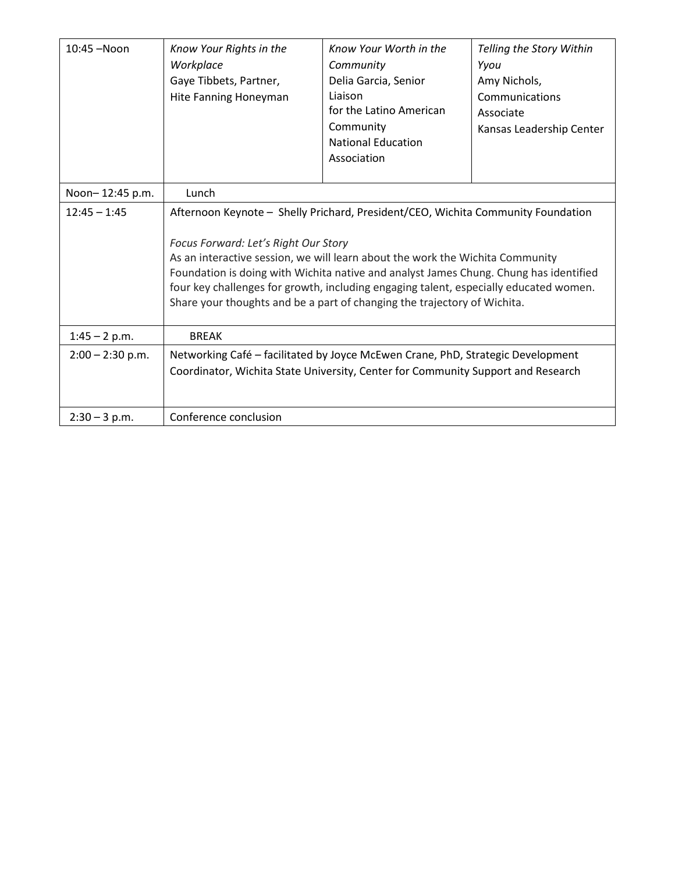| $10:45 - N$ oon    | Know Your Rights in the<br>Workplace<br>Gaye Tibbets, Partner,<br>Hite Fanning Honeyman                                                                                                                                                                                                                                                                                                                                                                                 | Know Your Worth in the<br>Community<br>Delia Garcia, Senior<br>Liaison<br>for the Latino American<br>Community<br><b>National Education</b><br>Association | Telling the Story Within<br>Yyou<br>Amy Nichols,<br>Communications<br>Associate<br>Kansas Leadership Center |  |
|--------------------|-------------------------------------------------------------------------------------------------------------------------------------------------------------------------------------------------------------------------------------------------------------------------------------------------------------------------------------------------------------------------------------------------------------------------------------------------------------------------|------------------------------------------------------------------------------------------------------------------------------------------------------------|-------------------------------------------------------------------------------------------------------------|--|
| Noon-12:45 p.m.    | Lunch                                                                                                                                                                                                                                                                                                                                                                                                                                                                   |                                                                                                                                                            |                                                                                                             |  |
| $12:45 - 1:45$     | Afternoon Keynote - Shelly Prichard, President/CEO, Wichita Community Foundation<br>Focus Forward: Let's Right Our Story<br>As an interactive session, we will learn about the work the Wichita Community<br>Foundation is doing with Wichita native and analyst James Chung. Chung has identified<br>four key challenges for growth, including engaging talent, especially educated women.<br>Share your thoughts and be a part of changing the trajectory of Wichita. |                                                                                                                                                            |                                                                                                             |  |
| $1:45 - 2 p.m.$    | <b>BREAK</b>                                                                                                                                                                                                                                                                                                                                                                                                                                                            |                                                                                                                                                            |                                                                                                             |  |
| $2:00 - 2:30$ p.m. | Networking Café - facilitated by Joyce McEwen Crane, PhD, Strategic Development<br>Coordinator, Wichita State University, Center for Community Support and Research                                                                                                                                                                                                                                                                                                     |                                                                                                                                                            |                                                                                                             |  |
| $2:30 - 3$ p.m.    | Conference conclusion                                                                                                                                                                                                                                                                                                                                                                                                                                                   |                                                                                                                                                            |                                                                                                             |  |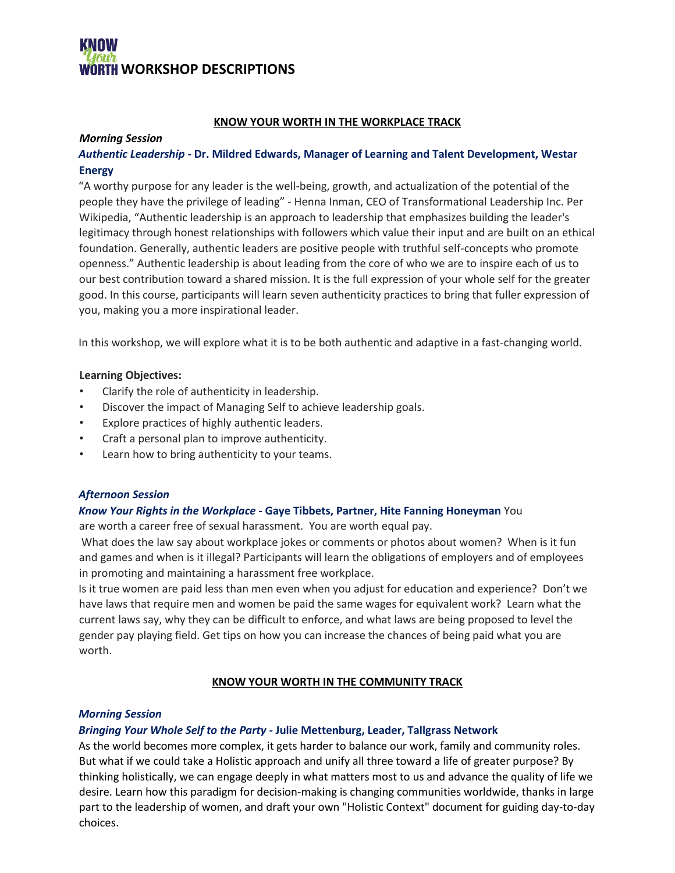# **NNW WORTH WORKSHOP DESCRIPTIONS**

### **KNOW YOUR WORTH IN THE WORKPLACE TRACK**

#### *Morning Session*

# *Authentic Leadership -* **Dr. Mildred Edwards, Manager of Learning and Talent Development, Westar Energy**

"A worthy purpose for any leader is the well-being, growth, and actualization of the potential of the people they have the privilege of leading" - Henna Inman, CEO of Transformational Leadership Inc. Per Wikipedia, "Authentic leadership is an approach to leadership that emphasizes building the leader's legitimacy through honest relationships with followers which value their input and are built on an ethical foundation. Generally, authentic leaders are positive people with truthful self-concepts who promote openness." Authentic leadership is about leading from the core of who we are to inspire each of us to our best contribution toward a shared mission. It is the full expression of your whole self for the greater good. In this course, participants will learn seven authenticity practices to bring that fuller expression of you, making you a more inspirational leader.

In this workshop, we will explore what it is to be both authentic and adaptive in a fast-changing world.

#### **Learning Objectives:**

- Clarify the role of authenticity in leadership.
- Discover the impact of Managing Self to achieve leadership goals.
- Explore practices of highly authentic leaders.
- Craft a personal plan to improve authenticity.
- Learn how to bring authenticity to your teams.

## *Afternoon Session*

## *Know Your Rights in the Workplace -* **Gaye Tibbets, Partner, Hite Fanning Honeyman** You

are worth a career free of sexual harassment. You are worth equal pay.

What does the law say about workplace jokes or comments or photos about women? When is it fun and games and when is it illegal? Participants will learn the obligations of employers and of employees in promoting and maintaining a harassment free workplace.

Is it true women are paid less than men even when you adjust for education and experience? Don't we have laws that require men and women be paid the same wages for equivalent work? Learn what the current laws say, why they can be difficult to enforce, and what laws are being proposed to level the gender pay playing field. Get tips on how you can increase the chances of being paid what you are worth.

## **KNOW YOUR WORTH IN THE COMMUNITY TRACK**

#### *Morning Session*

## *Bringing Your Whole Self to the Party -* **Julie Mettenburg, Leader, Tallgrass Network**

As the world becomes more complex, it gets harder to balance our work, family and community roles. But what if we could take a Holistic approach and unify all three toward a life of greater purpose? By thinking holistically, we can engage deeply in what matters most to us and advance the quality of life we desire. Learn how this paradigm for decision-making is changing communities worldwide, thanks in large part to the leadership of women, and draft your own "Holistic Context" document for guiding day-to-day choices.